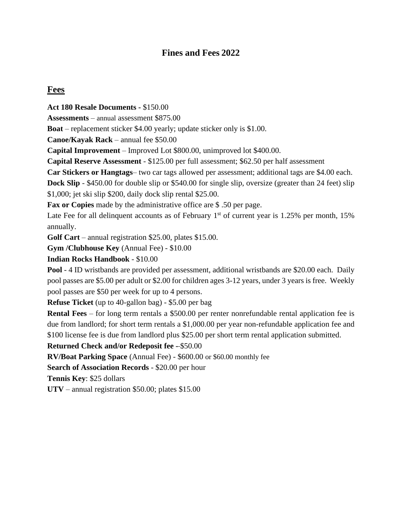# **Fines and Fees 2022**

# **Fees**

**Act 180 Resale Documents -** \$150.00 **Assessments** – annual assessment \$875.00 **Boat** – replacement sticker \$4.00 yearly; update sticker only is \$1.00. **Canoe/Kayak Rack** – annual fee \$50.00 **Capital Improvement** – Improved Lot \$800.00, unimproved lot \$400.00. **Capital Reserve Assessment** - \$125.00 per full assessment; \$62.50 per half assessment **Car Stickers or Hangtags**– two car tags allowed per assessment; additional tags are \$4.00 each. **Dock Slip** - \$450.00 for double slip or \$540.00 for single slip, oversize (greater than 24 feet) slip \$1,000; jet ski slip \$200, daily dock slip rental \$25.00. **Fax or Copies** made by the administrative office are \$ .50 per page. Late Fee for all delinquent accounts as of February  $1<sup>st</sup>$  of current year is 1.25% per month, 15% annually. **Golf Cart** – annual registration \$25.00, plates \$15.00. **Gym /Clubhouse Key** (Annual Fee) - \$10.00 **Indian Rocks Handbook** - \$10.00 **Pool** - 4 ID wristbands are provided per assessment, additional wristbands are \$20.00 each. Daily pool passes are \$5.00 per adult or \$2.00 for children ages 3-12 years, under 3 years is free. Weekly pool passes are \$50 per week for up to 4 persons. **Refuse Ticket** (up to 40-gallon bag) - \$5.00 per bag **Rental Fees** – for long term rentals a \$500.00 per renter nonrefundable rental application fee is due from landlord; for short term rentals a \$1,000.00 per year non-refundable application fee and \$100 license fee is due from landlord plus \$25.00 per short term rental application submitted. **Returned Check and/or Redeposit fee -** \$50.00 **RV/Boat Parking Space** (Annual Fee) - \$600.00 or \$60.00 monthly fee **Search of Association Records** - \$20.00 per hour **Tennis Key**: \$25 dollars

**UTV** – annual registration \$50.00; plates \$15.00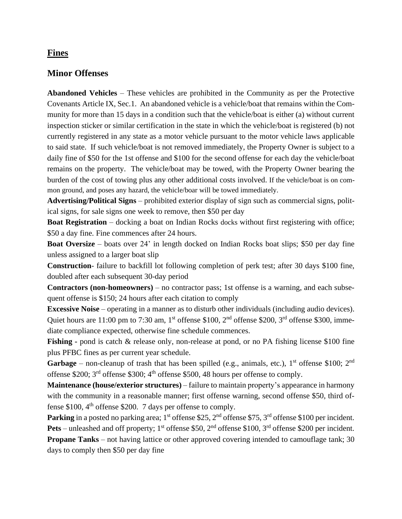## **Fines**

## **Minor Offenses**

**Abandoned Vehicles** – These vehicles are prohibited in the Community as per the Protective Covenants Article IX, Sec.1. An abandoned vehicle is a vehicle/boat that remains within the Community for more than 15 days in a condition such that the vehicle/boat is either (a) without current inspection sticker or similar certification in the state in which the vehicle/boat is registered (b) not currently registered in any state as a motor vehicle pursuant to the motor vehicle laws applicable to said state. If such vehicle/boat is not removed immediately, the Property Owner is subject to a daily fine of \$50 for the 1st offense and \$100 for the second offense for each day the vehicle/boat remains on the property. The vehicle/boat may be towed, with the Property Owner bearing the burden of the cost of towing plus any other additional costs involved. If the vehicle/boat is on common ground, and poses any hazard, the vehicle/boar will be towed immediately.

**Advertising/Political Signs** – prohibited exterior display of sign such as commercial signs, political signs, for sale signs one week to remove, then \$50 per day

**Boat Registration** – docking a boat on Indian Rocks docks without first registering with office; \$50 a day fine. Fine commences after 24 hours.

**Boat Oversize** – boats over 24' in length docked on Indian Rocks boat slips; \$50 per day fine unless assigned to a larger boat slip

**Construction**- failure to backfill lot following completion of perk test; after 30 days \$100 fine, doubled after each subsequent 30-day period

**Contractors (non-homeowners)** – no contractor pass; 1st offense is a warning, and each subsequent offense is \$150; 24 hours after each citation to comply

**Excessive Noise** – operating in a manner as to disturb other individuals (including audio devices). Quiet hours are 11:00 pm to 7:30 am, 1<sup>st</sup> offense \$100, 2<sup>nd</sup> offense \$200, 3<sup>rd</sup> offense \$300, immediate compliance expected, otherwise fine schedule commences.

**Fishing -** pond is catch & release only, non-release at pond, or no PA fishing license \$100 fine plus PFBC fines as per current year schedule.

**Garbage** – non-cleanup of trash that has been spilled (e.g., animals, etc.),  $1<sup>st</sup>$  offense \$100;  $2<sup>nd</sup>$ offense \$200;  $3<sup>rd</sup>$  offense \$300;  $4<sup>th</sup>$  offense \$500, 48 hours per offense to comply.

**Maintenance (house/exterior structures)** – failure to maintain property's appearance in harmony with the community in a reasonable manner; first offense warning, second offense \$50, third offense \$100, 4<sup>th</sup> offense \$200. 7 days per offense to comply.

Parking in a posted no parking area; 1<sup>st</sup> offense \$25, 2<sup>nd</sup> offense \$75, 3<sup>rd</sup> offense \$100 per incident. **Pets** – unleashed and off property;  $1^{st}$  offense \$50,  $2^{nd}$  offense \$100,  $3^{rd}$  offense \$200 per incident. **Propane Tanks** – not having lattice or other approved covering intended to camouflage tank; 30 days to comply then \$50 per day fine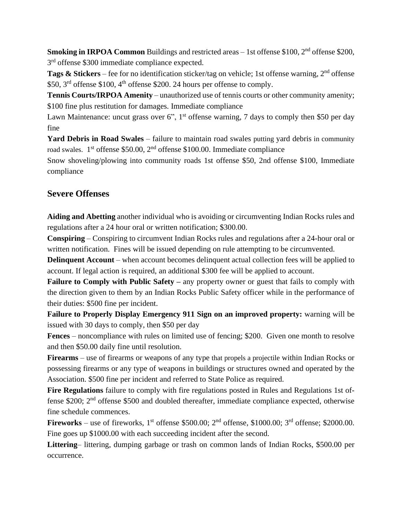Smoking in IRPOA Common Buildings and restricted areas - 1st offense \$100, 2<sup>nd</sup> offense \$200, 3<sup>rd</sup> offense \$300 immediate compliance expected.

Tags & Stickers – fee for no identification sticker/tag on vehicle; 1st offense warning, 2<sup>nd</sup> offense \$50, 3<sup>rd</sup> offense \$100, 4<sup>th</sup> offense \$200. 24 hours per offense to comply.

**Tennis Courts/IRPOA Amenity** – unauthorized use of tennis courts or other community amenity; \$100 fine plus restitution for damages. Immediate compliance

Lawn Maintenance: uncut grass over 6", 1<sup>st</sup> offense warning, 7 days to comply then \$50 per day fine

**Yard Debris in Road Swales** – failure to maintain road swales putting yard debris in community road swales. 1<sup>st</sup> offense \$50.00, 2<sup>nd</sup> offense \$100.00. Immediate compliance

Snow shoveling/plowing into community roads 1st offense \$50, 2nd offense \$100, Immediate compliance

# **Severe Offenses**

**Aiding and Abetting** another individual who is avoiding or circumventing Indian Rocks rules and regulations after a 24 hour oral or written notification; \$300.00.

**Conspiring** – Conspiring to circumvent Indian Rocks rules and regulations after a 24-hour oral or written notification. Fines will be issued depending on rule attempting to be circumvented.

**Delinquent Account** – when account becomes delinquent actual collection fees will be applied to account. If legal action is required, an additional \$300 fee will be applied to account.

**Failure to Comply with Public Safety –** any property owner or guest that fails to comply with the direction given to them by an Indian Rocks Public Safety officer while in the performance of their duties: \$500 fine per incident.

**Failure to Properly Display Emergency 911 Sign on an improved property:** warning will be issued with 30 days to comply, then \$50 per day

**Fences** – noncompliance with rules on limited use of fencing; \$200. Given one month to resolve and then \$50.00 daily fine until resolution.

**Firearms** – use of firearms or weapons of any type that propels a projectile within Indian Rocks or possessing firearms or any type of weapons in buildings or structures owned and operated by the Association. \$500 fine per incident and referred to State Police as required.

**Fire Regulations** failure to comply with fire regulations posted in Rules and Regulations 1st offense \$200;  $2<sup>nd</sup>$  offense \$500 and doubled thereafter, immediate compliance expected, otherwise fine schedule commences.

**Fireworks** – use of fireworks,  $1^{st}$  offense \$500.00;  $2^{nd}$  offense, \$1000.00;  $3^{rd}$  offense; \$2000.00. Fine goes up \$1000.00 with each succeeding incident after the second.

**Littering**– littering, dumping garbage or trash on common lands of Indian Rocks, \$500.00 per occurrence.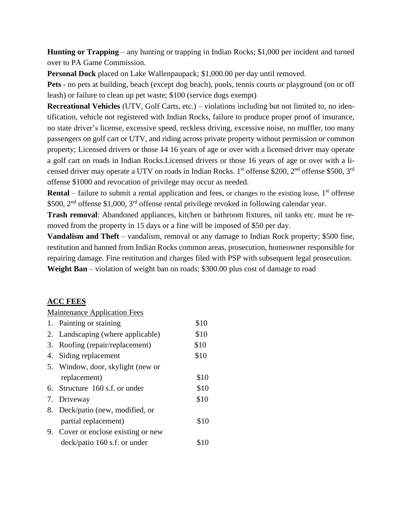**Hunting or Trapping** – any hunting or trapping in Indian Rocks; \$1,000 per incident and turned over to PA Game Commission.

**Personal Dock** placed on Lake Wallenpaupack; \$1,000.00 per day until removed.

**Pets** - no pets at building, beach (except dog beach), pools, tennis courts or playground (on or off leash) or failure to clean up pet waste; \$100 (service dogs exempt)

**Recreational Vehicles** (UTV, Golf Carts, etc.) – violations including but not limited to, no identification, vehicle not registered with Indian Rocks, failure to produce proper proof of insurance, no state driver's license, excessive speed, reckless driving, excessive noise, no muffler, too many passengers on golf cart or UTV, and riding across private property without permission or common property; Licensed drivers or those 14 16 years of age or over with a licensed driver may operate a golf cart on roads in Indian Rocks.Licensed drivers or those 16 years of age or over with a licensed driver may operate a UTV on roads in Indian Rocks. 1<sup>st</sup> offense \$200, 2<sup>nd</sup> offense \$500, 3<sup>rd</sup> offense \$1000 and revocation of privilege may occur as needed.

**Rental** – failure to submit a rental application and fees, or changes to the existing lease, 1<sup>st</sup> offense \$500, 2<sup>nd</sup> offense \$1,000, 3<sup>rd</sup> offense rental privilege revoked in following calendar year.

**Trash removal**: Abandoned appliances, kitchen or bathroom fixtures, oil tanks etc. must be removed from the property in 15 days or a fine will be imposed of \$50 per day.

**Vandalism and Theft** – vandalism, removal or any damage to Indian Rock property; \$500 fine, restitution and banned from Indian Rocks common areas, prosecution, homeowner responsible for repairing damage. Fine restitution and charges filed with PSP with subsequent legal prosecution. **Weight Ban** – violation of weight ban on roads; \$300.00 plus cost of damage to road

#### **ACC FEES**

#### Maintenance Application Fees

| 1. Painting or staining             | \$10 |
|-------------------------------------|------|
| 2. Landscaping (where applicable)   | \$10 |
| 3. Roofing (repair/replacement)     | \$10 |
| 4. Siding replacement               | \$10 |
| 5. Window, door, skylight (new or   |      |
| replacement)                        | \$10 |
| 6. Structure 160 s.f. or under      | \$10 |
| 7. Driveway                         | \$10 |
| 8. Deck/patio (new, modified, or    |      |
| partial replacement)                | \$10 |
| 9. Cover or enclose existing or new |      |
| deck/patio 160 s.f. or under        |      |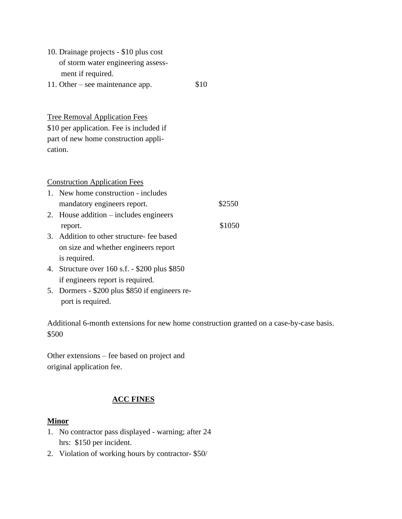| 10. Drainage projects - \$10 plus cost |      |
|----------------------------------------|------|
| of storm water engineering assess-     |      |
| ment if required.                      |      |
| 11. Other – see maintenance app.       | \$10 |

Tree Removal Application Fees \$10 per application. Fee is included if part of new home construction application.

Construction Application Fees

- 1. New home construction includes mandatory engineers report.  $$2550$
- 2. House addition includes engineers report.  $$1050$
- 3. Addition to other structure- fee based on size and whether engineers report is required.
- 4. Structure over 160 s.f. \$200 plus \$850 if engineers report is required.
- 5. Dormers \$200 plus \$850 if engineers re port is required.

Additional 6-month extensions for new home construction granted on a case-by-case basis. \$500

Other extensions – fee based on project and original application fee.

## **ACC FINES**

#### **Minor**

- 1. No contractor pass displayed warning; after 24 hrs: \$150 per incident.
- 2. Violation of working hours by contractor- \$50/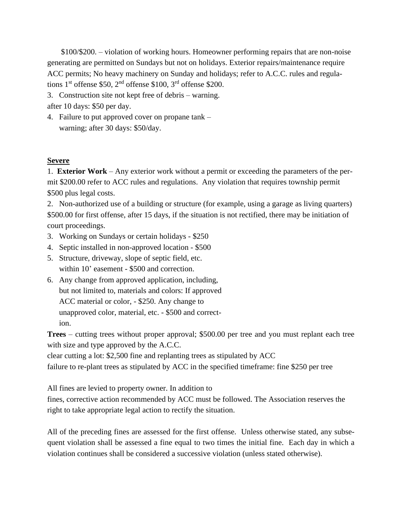\$100/\$200. – violation of working hours. Homeowner performing repairs that are non-noise generating are permitted on Sundays but not on holidays. Exterior repairs/maintenance require ACC permits; No heavy machinery on Sunday and holidays; refer to A.C.C. rules and regulations  $1<sup>st</sup>$  offense \$50,  $2<sup>nd</sup>$  offense \$100,  $3<sup>rd</sup>$  offense \$200.

3. Construction site not kept free of debris – warning.

after 10 days: \$50 per day.

4. Failure to put approved cover on propane tank – warning; after 30 days: \$50/day.

## **Severe**

1. **Exterior Work** – Any exterior work without a permit or exceeding the parameters of the permit \$200.00 refer to ACC rules and regulations. Any violation that requires township permit \$500 plus legal costs.

2. Non-authorized use of a building or structure (for example, using a garage as living quarters) \$500.00 for first offense, after 15 days, if the situation is not rectified, there may be initiation of court proceedings.

- 3. Working on Sundays or certain holidays \$250
- 4. Septic installed in non-approved location \$500
- 5. Structure, driveway, slope of septic field, etc. within 10' easement - \$500 and correction.
- 6. Any change from approved application, including, but not limited to, materials and colors: If approved ACC material or color, - \$250. Any change to unapproved color, material, etc. - \$500 and correct ion.

**Trees** – cutting trees without proper approval; \$500.00 per tree and you must replant each tree with size and type approved by the A.C.C.

clear cutting a lot: \$2,500 fine and replanting trees as stipulated by ACC

failure to re-plant trees as stipulated by ACC in the specified timeframe: fine \$250 per tree

All fines are levied to property owner. In addition to

fines, corrective action recommended by ACC must be followed. The Association reserves the right to take appropriate legal action to rectify the situation.

All of the preceding fines are assessed for the first offense. Unless otherwise stated, any subsequent violation shall be assessed a fine equal to two times the initial fine. Each day in which a violation continues shall be considered a successive violation (unless stated otherwise).